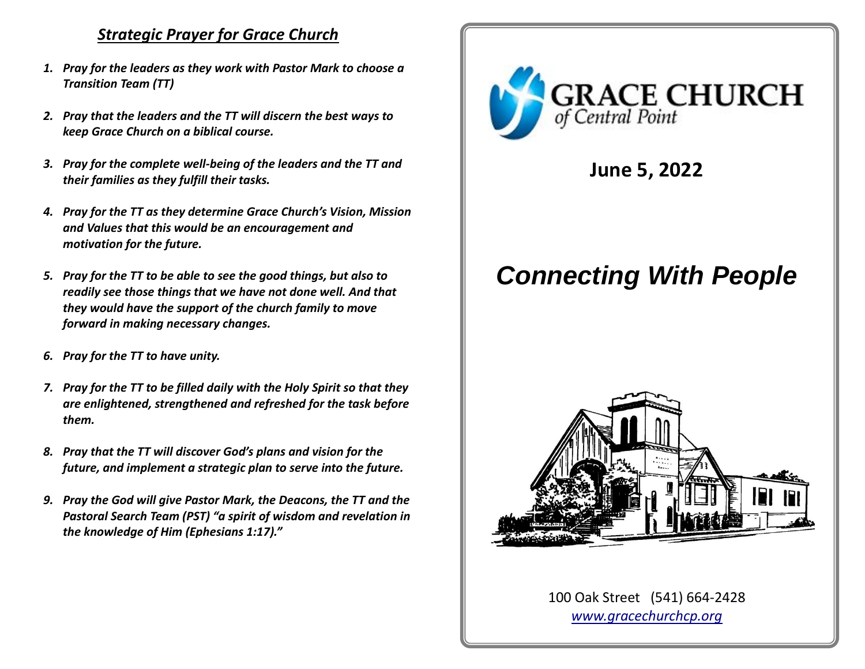# *Strategic Prayer for Grace Church*

- *1. Pray for the leaders as they work with Pastor Mark to choose a Transition Team (TT)*
- *2. Pray that the leaders and the TT will discern the best ways to keep Grace Church on a biblical course.*
- *3. Pray for the complete well-being of the leaders and the TT and their families as they fulfill their tasks.*
- *4. Pray for the TT as they determine Grace Church's Vision, Mission and Values that this would be an encouragement and motivation for the future.*
- *5. Pray for the TT to be able to see the good things, but also to readily see those things that we have not done well. And that they would have the support of the church family to move forward in making necessary changes.*
- *6. Pray for the TT to have unity.*
- *7. Pray for the TT to be filled daily with the Holy Spirit so that they are enlightened, strengthened and refreshed for the task before them.*
- *8. Pray that the TT will discover God's plans and vision for the future, and implement a strategic plan to serve into the future.*
- *9. Pray the God will give Pastor Mark, the Deacons, the TT and the Pastoral Search Team (PST) "a spirit of wisdom and revelation in the knowledge of Him (Ephesians 1:17)."*



**June 5, 2022**

# *Connecting With People*



100 Oak Street (541) 664-2428 *[www.gracechurchcp.org](http://www.gracechurchcp.org/)*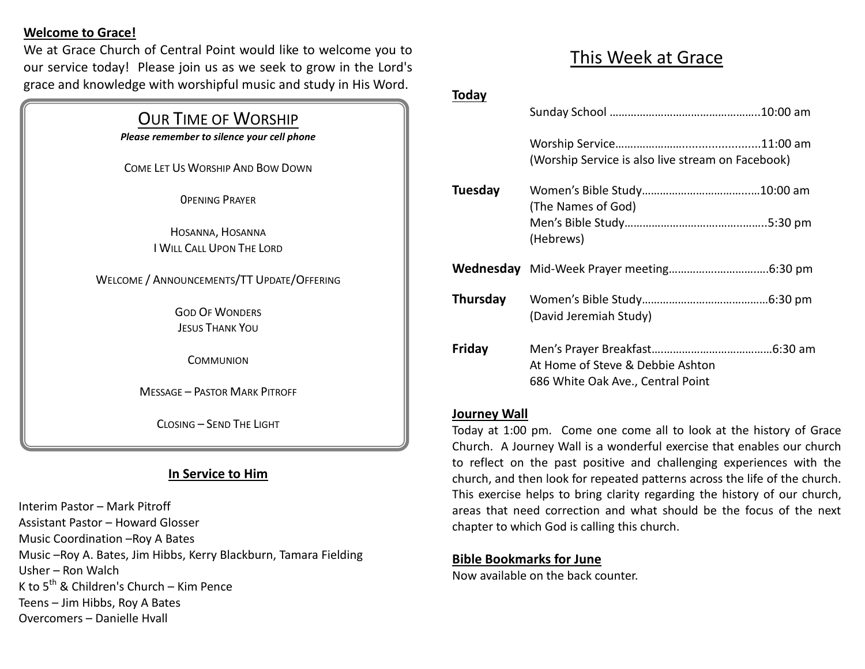#### **Welcome to Grace!**

We at Grace Church of Central Point would like to welcome you to our service today! Please join us as we seek to grow in the Lord's grace and knowledge with worshipful music and study in His Word.

#### OUR TIME OF WORSHIP

*Please remember to silence your cell phone*

COME LET US WORSHIP AND BOW DOWN

0PENING PRAYER

HOSANNA, HOSANNA I WILL CALL UPON THE LORD

WELCOME / ANNOUNCEMENTS/TT UPDATE/OFFERING

GOD OF WONDERS JESUS THANK YOU

**COMMUNION** 

MESSAGE – PASTOR MARK PITROFF

CLOSING – SEND THE LIGHT

## **In Service to Him**

Interim Pastor – Mark Pitroff Assistant Pastor – Howard Glosser Music Coordination –Roy A Bates Music –Roy A. Bates, Jim Hibbs, Kerry Blackburn, Tamara Fielding Usher – Ron Walch K to  $5^{th}$  & Children's Church – Kim Pence Teens – Jim Hibbs, Roy A Bates Overcomers – Danielle Hvall

# This Week at Grace

#### **Today**

| (The Names of God)                                                    |                                                   |
|-----------------------------------------------------------------------|---------------------------------------------------|
| (Hebrews)                                                             |                                                   |
|                                                                       |                                                   |
| Thursday<br>(David Jeremiah Study)                                    |                                                   |
| At Home of Steve & Debbie Ashton<br>686 White Oak Ave., Central Point |                                                   |
|                                                                       | (Worship Service is also live stream on Facebook) |

#### **Journey Wall**

Today at 1:00 pm. Come one come all to look at the history of Grace Church. A Journey Wall is a wonderful exercise that enables our church to reflect on the past positive and challenging experiences with the church, and then look for repeated patterns across the life of the church. This exercise helps to bring clarity regarding the history of our church, areas that need correction and what should be the focus of the next chapter to which God is calling this church.

#### **Bible Bookmarks for June**

Now available on the back counter.